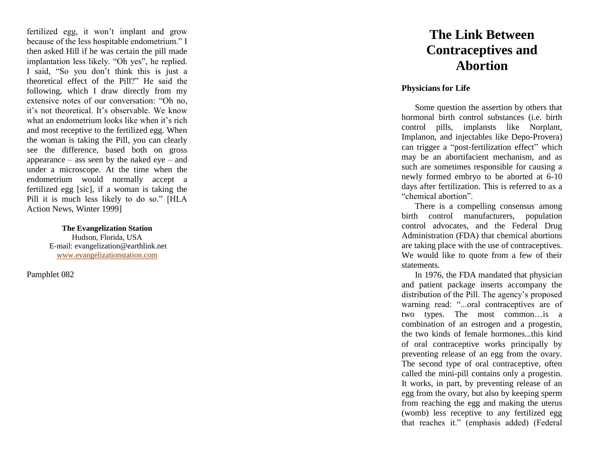fertilized egg, it won't implant and grow because of the less hospitable endometrium." I then asked Hill if he was certain the pill made implantation less likely. "Oh yes", he replied. I said, "So you don't think this is just a theoretical effect of the Pill?" He said the following, which I draw directly from my extensive notes of our conversation: "Oh no, it's not theoretical. It's observable. We know what an endometrium looks like when it's rich and most receptive to the fertilized egg. When the woman is taking the Pill, you can clearly see the difference, based both on gross appearance – ass seen by the naked eye – and under a microscope. At the time when the endometrium would normally accept a fertilized egg [sic], if a woman is taking the Pill it is much less likely to do so." [HLA Action News, Winter 1999]

> **The Evangelization Station** Hudson, Florida, USA E -mail: evangelization@earthlink.net [www.evangelizationstation.com](http://www.pjpiisoe.org/)

Pamphlet 082

## **The Link Between Contraceptives and Abortion**

## **Physicians for Life**

Some question the assertion by others that hormonal birth control substances (i.e. birth control pills, implansts like Norplant, Implanon, and injectables like Depo -Provera) can trigger a "post -fertilization effect " which may be an abortifacient mechanism, and as such are sometimes responsible for causing a newly formed embryo to be aborted at 6 -10 days after fertilization. This is referred to as a "chemical abortion".

There is a compelling consensus among birth control manufacturers, population control advocates, and the Federal Drug Administration (FDA) that chemical abortions are taking place with the use of contraceptives. We would like to quote from a few of their statements.

In 1976, the FDA mandated that physician and patient package inserts accompany the distribution of the Pill. The agency's proposed warning read: "...oral contraceptives are of two types. The most common …is a combination of an estrogen and a progestin, the two kinds of female hormones...this kind of oral contraceptive works principally by preventing release of an egg from the ovary. The second type of oral contraceptive, often called the mini -pill contains only a progestin. It works, in part, by preventing release of an egg from the ovary, but also by keeping sperm from reaching the egg and making the uterus (womb) less receptive to any fertilized egg that reaches it." (emphasis added) (Federal